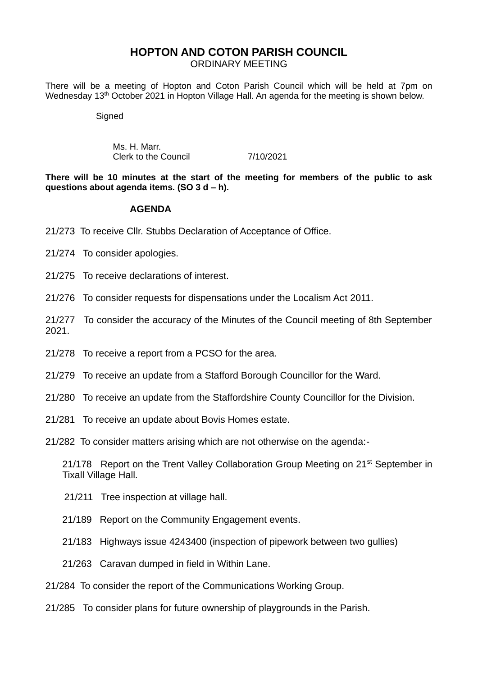### **HOPTON AND COTON PARISH COUNCIL**

ORDINARY MEETING

There will be a meeting of Hopton and Coton Parish Council which will be held at 7pm on Wednesday 13<sup>th</sup> October 2021 in Hopton Village Hall. An agenda for the meeting is shown below.

**Signed** 

Ms. H. Marr. Clerk to the Council 7/10/2021

**There will be 10 minutes at the start of the meeting for members of the public to ask questions about agenda items. (SO 3 d – h).**

#### **AGENDA**

21/273 To receive Cllr. Stubbs Declaration of Acceptance of Office.

21/274 To consider apologies.

21/275 To receive declarations of interest.

21/276 To consider requests for dispensations under the Localism Act 2011.

21/277 To consider the accuracy of the Minutes of the Council meeting of 8th September 2021.

21/278 To receive a report from a PCSO for the area.

21/279 To receive an update from a Stafford Borough Councillor for the Ward.

21/280 To receive an update from the Staffordshire County Councillor for the Division.

21/281 To receive an update about Bovis Homes estate.

21/282 To consider matters arising which are not otherwise on the agenda:-

21/178 Report on the Trent Valley Collaboration Group Meeting on 21<sup>st</sup> September in Tixall Village Hall.

- 21/211 Tree inspection at village hall.
- 21/189 Report on the Community Engagement events.
- 21/183 Highways issue 4243400 (inspection of pipework between two gullies)
- 21/263 Caravan dumped in field in Within Lane.
- 21/284 To consider the report of the Communications Working Group.
- 21/285 To consider plans for future ownership of playgrounds in the Parish.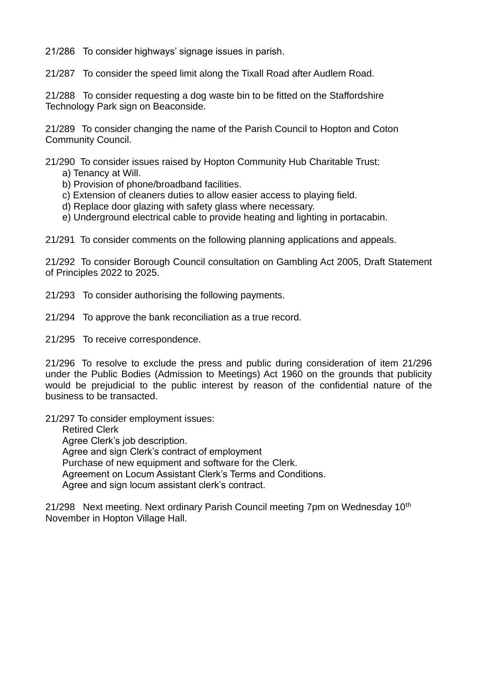21/286 To consider highways' signage issues in parish.

21/287 To consider the speed limit along the Tixall Road after Audlem Road.

21/288 To consider requesting a dog waste bin to be fitted on the Staffordshire Technology Park sign on Beaconside.

21/289 To consider changing the name of the Parish Council to Hopton and Coton Community Council.

21/290 To consider issues raised by Hopton Community Hub Charitable Trust:

- a) Tenancy at Will.
- b) Provision of phone/broadband facilities.
- c) Extension of cleaners duties to allow easier access to playing field.
- d) Replace door glazing with safety glass where necessary.
- e) Underground electrical cable to provide heating and lighting in portacabin.

21/291 To consider comments on the following planning applications and appeals.

21/292 To consider Borough Council consultation on Gambling Act 2005, Draft Statement of Principles 2022 to 2025.

21/293 To consider authorising the following payments.

21/294 To approve the bank reconciliation as a true record.

21/295 To receive correspondence.

21/296 To resolve to exclude the press and public during consideration of item 21/296 under the Public Bodies (Admission to Meetings) Act 1960 on the grounds that publicity would be prejudicial to the public interest by reason of the confidential nature of the business to be transacted.

21/297 To consider employment issues:

Retired Clerk Agree Clerk's job description. Agree and sign Clerk's contract of employment Purchase of new equipment and software for the Clerk. Agreement on Locum Assistant Clerk's Terms and Conditions. Agree and sign locum assistant clerk's contract.

21/298 Next meeting. Next ordinary Parish Council meeting 7pm on Wednesday 10<sup>th</sup> November in Hopton Village Hall.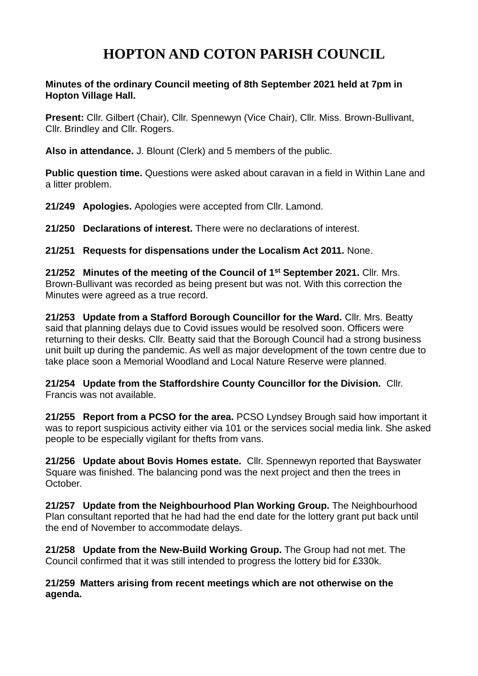# **HOPTON AND COTON PARISH COUNCIL**

#### **Minutes of the ordinary Council meeting of 8th September 2021 held at 7pm in Hopton Village Hall.**

**Present:** Cllr. Gilbert (Chair), Cllr. Spennewyn (Vice Chair), Cllr. Miss. Brown-Bullivant, Cllr. Brindley and Cllr. Rogers.

**Also in attendance.** J. Blount (Clerk) and 5 members of the public.

**Public question time.** Questions were asked about caravan in a field in Within Lane and a litter problem.

**21/249 Apologies.** Apologies were accepted from Cllr. Lamond.

**21/250 Declarations of interest.** There were no declarations of interest.

**21/251 Requests for dispensations under the Localism Act 2011.** None.

**21/252 Minutes of the meeting of the Council of 1st September 2021.** Cllr. Mrs. Brown-Bullivant was recorded as being present but was not. With this correction the Minutes were agreed as a true record.

**21/253 Update from a Stafford Borough Councillor for the Ward.** Cllr. Mrs. Beatty said that planning delays due to Covid issues would be resolved soon. Officers were returning to their desks. Cllr. Beatty said that the Borough Council had a strong business unit built up during the pandemic. As well as major development of the town centre due to take place soon a Memorial Woodland and Local Nature Reserve were planned.

**21/254 Update from the Staffordshire County Councillor for the Division.** Cllr. Francis was not available.

**21/255 Report from a PCSO for the area.** PCSO Lyndsey Brough said how important it was to report suspicious activity either via 101 or the services social media link. She asked people to be especially vigilant for thefts from vans.

**21/256 Update about Bovis Homes estate.** Cllr. Spennewyn reported that Bayswater Square was finished. The balancing pond was the next project and then the trees in October.

**21/257 Update from the Neighbourhood Plan Working Group.** The Neighbourhood Plan consultant reported that he had had the end date for the lottery grant put back until the end of November to accommodate delays.

**21/258 Update from the New-Build Working Group.** The Group had not met. The Council confirmed that it was still intended to progress the lottery bid for £330k.

**21/259 Matters arising from recent meetings which are not otherwise on the agenda.**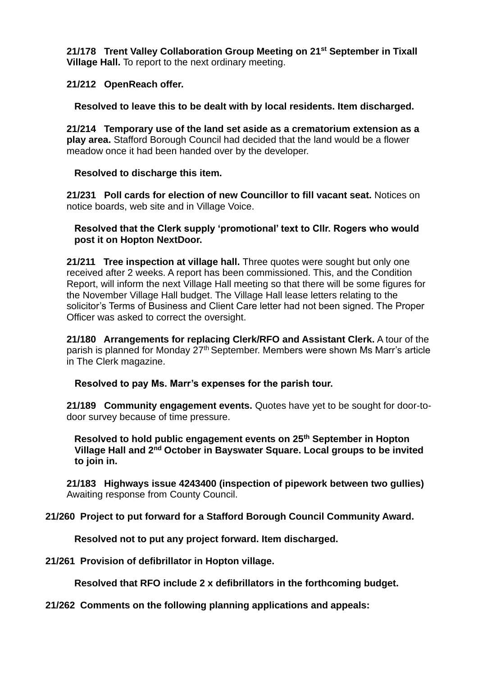**21/178 Trent Valley Collaboration Group Meeting on 21st September in Tixall Village Hall.** To report to the next ordinary meeting.

#### **21/212 OpenReach offer.**

**Resolved to leave this to be dealt with by local residents. Item discharged.**

**21/214 Temporary use of the land set aside as a crematorium extension as a play area.** Stafford Borough Council had decided that the land would be a flower meadow once it had been handed over by the developer.

#### **Resolved to discharge this item.**

**21/231 Poll cards for election of new Councillor to fill vacant seat.** Notices on notice boards, web site and in Village Voice.

#### **Resolved that the Clerk supply 'promotional' text to Cllr. Rogers who would post it on Hopton NextDoor.**

**21/211 Tree inspection at village hall.** Three quotes were sought but only one received after 2 weeks. A report has been commissioned. This, and the Condition Report, will inform the next Village Hall meeting so that there will be some figures for the November Village Hall budget. The Village Hall lease letters relating to the solicitor's Terms of Business and Client Care letter had not been signed. The Proper Officer was asked to correct the oversight.

**21/180 Arrangements for replacing Clerk/RFO and Assistant Clerk.** A tour of the parish is planned for Monday 27th September. Members were shown Ms Marr's article in The Clerk magazine.

### **Resolved to pay Ms. Marr's expenses for the parish tour.**

**21/189 Community engagement events.** Quotes have yet to be sought for door-todoor survey because of time pressure.

**Resolved to hold public engagement events on 25th September in Hopton Village Hall and 2nd October in Bayswater Square. Local groups to be invited to join in.**

**21/183 Highways issue 4243400 (inspection of pipework between two gullies)** Awaiting response from County Council.

### **21/260 Project to put forward for a Stafford Borough Council Community Award.**

**Resolved not to put any project forward. Item discharged.**

**21/261 Provision of defibrillator in Hopton village.**

**Resolved that RFO include 2 x defibrillators in the forthcoming budget.**

#### **21/262 Comments on the following planning applications and appeals:**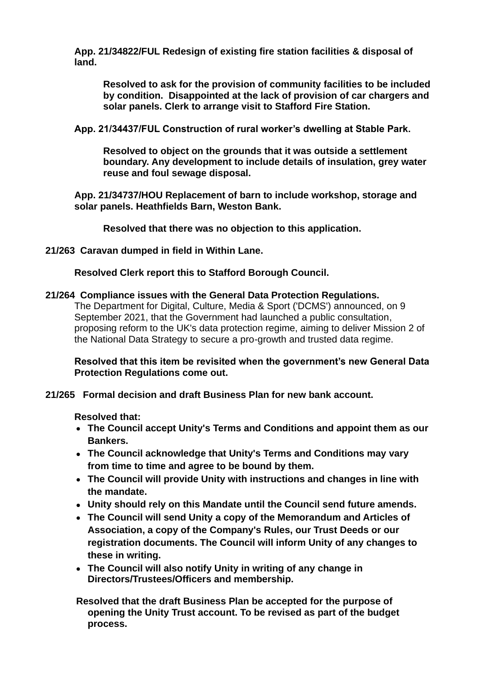**App. 21/34822/FUL Redesign of existing fire station facilities & disposal of land.**

**Resolved to ask for the provision of community facilities to be included by condition. Disappointed at the lack of provision of car chargers and solar panels. Clerk to arrange visit to Stafford Fire Station.**

**App. 21/34437/FUL Construction of rural worker's dwelling at Stable Park.**

**Resolved to object on the grounds that it was outside a settlement boundary. Any development to include details of insulation, grey water reuse and foul sewage disposal.**

**App. 21/34737/HOU Replacement of barn to include workshop, storage and solar panels. Heathfields Barn, Weston Bank.**

**Resolved that there was no objection to this application.**

**21/263 Caravan dumped in field in Within Lane.**

**Resolved Clerk report this to Stafford Borough Council.**

#### **21/264 Compliance issues with the General Data Protection Regulations.**

The Department for Digital, Culture, Media & Sport ('DCMS') announced, on 9 September 2021, that the Government had launched a public consultation, proposing reform to the UK's data protection regime, aiming to deliver Mission 2 of the National Data Strategy to secure a pro-growth and trusted data regime.

**Resolved that this item be revisited when the government's new General Data Protection Regulations come out.**

**21/265 Formal decision and draft Business Plan for new bank account.**

**Resolved that:**

- **The Council accept Unity's Terms and Conditions and appoint them as our Bankers.**
- **The Council acknowledge that Unity's Terms and Conditions may vary from time to time and agree to be bound by them.**
- **The Council will provide Unity with instructions and changes in line with the mandate.**
- **Unity should rely on this Mandate until the Council send future amends.**
- **The Council will send Unity a copy of the Memorandum and Articles of Association, a copy of the Company's Rules, our Trust Deeds or our registration documents. The Council will inform Unity of any changes to these in writing.**
- **The Council will also notify Unity in writing of any change in Directors/Trustees/Officers and membership.**

**Resolved that the draft Business Plan be accepted for the purpose of opening the Unity Trust account. To be revised as part of the budget process.**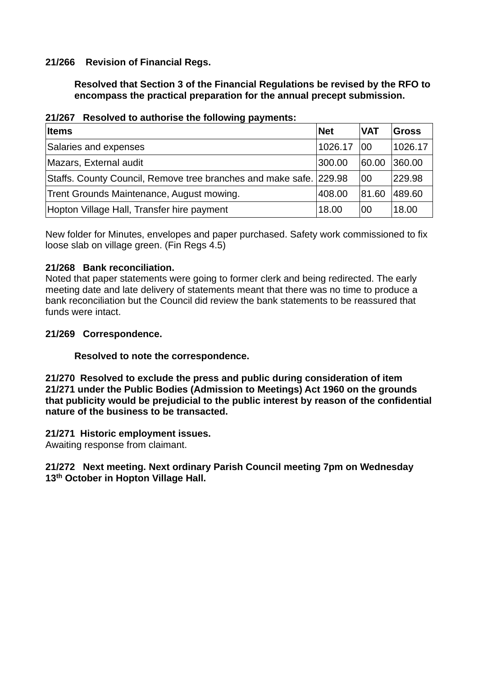### **21/266 Revision of Financial Regs.**

**Resolved that Section 3 of the Financial Regulations be revised by the RFO to encompass the practical preparation for the annual precept submission.**

| <b>Items</b>                                                       | <b>Net</b> | <b>VAT</b> | Gross   |
|--------------------------------------------------------------------|------------|------------|---------|
| Salaries and expenses                                              | 1026.17    | 00         | 1026.17 |
| Mazars, External audit                                             | 300.00     | 60.00      | 360.00  |
| Staffs. County Council, Remove tree branches and make safe. 229.98 |            | 00         | 229.98  |
| Trent Grounds Maintenance, August mowing.                          | 408.00     | 81.60      | 489.60  |
| Hopton Village Hall, Transfer hire payment                         | 18.00      | 00         | 18.00   |

| 21/267 Resolved to authorise the following payments: |
|------------------------------------------------------|
|------------------------------------------------------|

New folder for Minutes, envelopes and paper purchased. Safety work commissioned to fix loose slab on village green. (Fin Regs 4.5)

### **21/268 Bank reconciliation.**

Noted that paper statements were going to former clerk and being redirected. The early meeting date and late delivery of statements meant that there was no time to produce a bank reconciliation but the Council did review the bank statements to be reassured that funds were intact.

#### **21/269 Correspondence.**

### **Resolved to note the correspondence.**

**21/270 Resolved to exclude the press and public during consideration of item 21/271 under the Public Bodies (Admission to Meetings) Act 1960 on the grounds that publicity would be prejudicial to the public interest by reason of the confidential nature of the business to be transacted.**

#### **21/271 Historic employment issues.**

Awaiting response from claimant.

#### **21/272 Next meeting. Next ordinary Parish Council meeting 7pm on Wednesday 13th October in Hopton Village Hall.**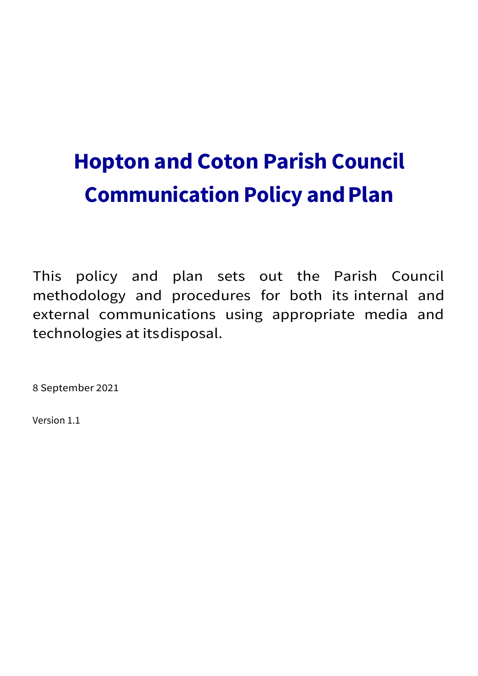# **Hopton and Coton Parish Council Communication Policy and Plan**

This policy and plan sets out the Parish Council methodology and procedures for both its internal and external communications using appropriate media and technologies at itsdisposal.

8 September 2021

Version 1.1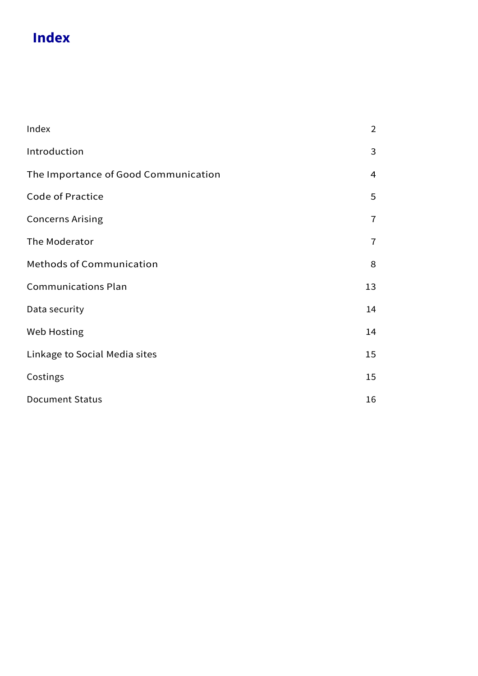# **Index**

| Index                                | $\overline{2}$ |
|--------------------------------------|----------------|
| Introduction                         | 3              |
| The Importance of Good Communication | $\overline{4}$ |
| <b>Code of Practice</b>              | 5              |
| <b>Concerns Arising</b>              | $\overline{7}$ |
| The Moderator                        | $\overline{7}$ |
| <b>Methods of Communication</b>      | 8              |
| <b>Communications Plan</b>           | 13             |
| Data security                        | 14             |
| Web Hosting                          | 14             |
| Linkage to Social Media sites        | 15             |
| Costings                             | 15             |
| <b>Document Status</b>               | 16             |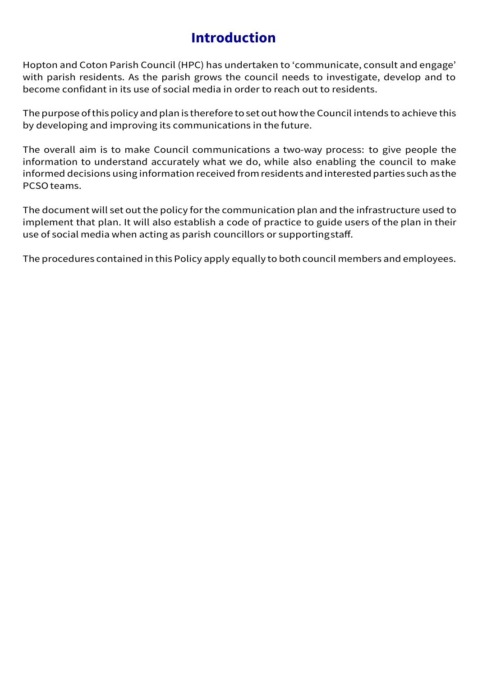# **Introduction**

Hopton and Coton Parish Council (HPC) has undertaken to 'communicate, consult and engage' with parish residents. As the parish grows the council needs to investigate, develop and to become confidant in its use of social media in order to reach out to residents.

The purpose of this policy and plan is therefore to set out how the Council intends to achieve this by developing and improving its communications in thefuture.

The overall aim is to make Council communications a two-way process: to give people the information to understand accurately what we do, while also enabling the council to make informed decisions using information received fromresidents andinterested parties such as the PCSOteams.

The document will set out the policy for the communication plan and the infrastructure used to implement that plan. It will also establish a code of practice to guide users of the plan in their use of social media when acting as parish councillors or supportingstaff.

The procedures contained in this Policy apply equally to both council members and employees.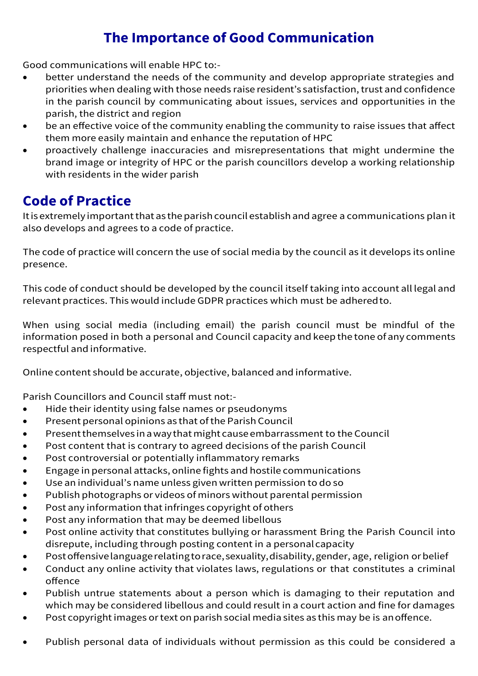# **The Importance of Good Communication**

Good communications will enable HPC to:-

- better understand the needs of the community and develop appropriate strategies and priorities when dealing with those needs raise resident's satisfaction, trust and confidence in the parish council by communicating about issues, services and opportunities in the parish, the district and region
- be an effective voice of the community enabling the community to raise issues that affect them more easily maintain and enhance the reputation of HPC
- proactively challenge inaccuracies and misrepresentations that might undermine the brand image or integrity of HPC or the parish councillors develop a working relationship with residents in the wider parish

# **Code of Practice**

It is extremely important that as the parish council establish and agree a communications plan it also develops and agrees to a code of practice.

The code of practice will concern the use of social media by the council as it develops its online presence.

This code of conduct should be developed by the council itself taking into account all legal and relevant practices. This would include GDPR practices which must be adheredto.

When using social media (including email) the parish council must be mindful of the information posed in both a personal and Council capacity and keep the tone of any comments respectful and informative.

Online content should be accurate, objective, balanced and informative.

Parish Councillors and Council staff must not:-

- Hide their identity using false names or pseudonyms
- Present personal opinions as that ofthe Parish Council
- Present themselves in a way that might cause embarrassment to the Council
- Post content that is contrary to agreed decisions of the parish Council
- Post controversial or potentially inflammatory remarks
- Engagein personal attacks, onlinefights and hostilecommunications
- Use an individual's name unless given written permission to do so
- Publish photographs or videos of minors without parental permission
- Post any information that infringes copyright of others
- Post any information that may be deemed libellous
- Post online activity that constitutes bullying or harassment Bring the Parish Council into disrepute, including through posting content in a personalcapacity
- Postoffensivelanguagerelatingtorace,sexuality,disability,gender, age, religion orbelief
- Conduct any online activity that violates laws, regulations or that constitutes a criminal offence
- Publish untrue statements about a person which is damaging to their reputation and which may be considered libellous and could result in a court action and fine for damages
- Post copyright images or text on parish social media sites as this may be is an offence.
- Publish personal data of individuals without permission as this could be considered a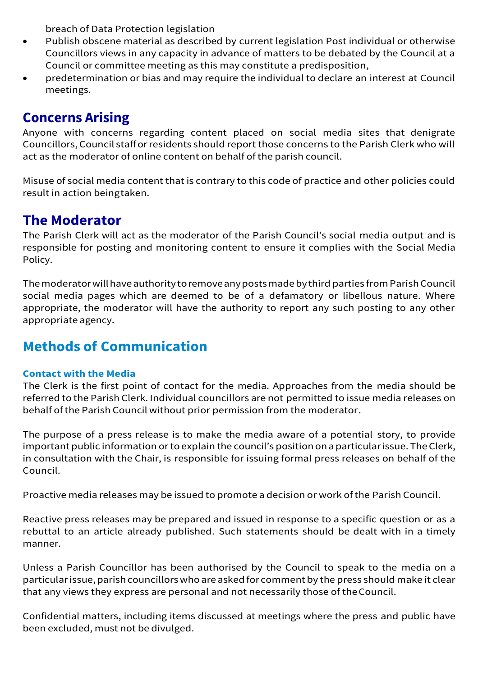breach of Data Protection legislation

- Publish obscene material as described by current legislation Post individual or otherwise Councillors views in any capacity in advance of matters to be debated by the Council at a Council or committee meeting as this may constitute a predisposition,
- predetermination or bias and may require the individual to declare an interest at Council meetings.

# **Concerns Arising**

Anyone with concerns regarding content placed on social media sites that denigrate Councillors, Council stafforresidents should report those concerns to the Parish Clerk who will act as the moderator of online content on behalf of the parish council.

Misuse of social media content that is contrary to this code of practice and other policies could result in action beingtaken.

# **The Moderator**

The Parish Clerk will act as the moderator of the Parish Council's social media output and is responsible for posting and monitoring content to ensure it complies with the Social Media Policy.

Themoderatorwillhaveauthoritytoremoveanypostsmadebythird parties fromParishCouncil social media pages which are deemed to be of a defamatory or libellous nature. Where appropriate, the moderator will have the authority to report any such posting to any other appropriate agency.

# **Methods of Communication**

### **Contact with the Media**

The Clerk is the first point of contact for the media. Approaches from the media should be referred to the Parish Clerk. Individual councillors are not permitted to issue media releases on behalf ofthe Parish Council without prior permission from the moderator.

The purpose of a press release is to make the media aware of a potential story, to provide important public information or to explain the council's position on a particular issue. The Clerk, in consultation with the Chair, is responsible for issuing formal press releases on behalf of the Council.

Proactive media releases may be issued to promote a decision or work of the Parish Council.

Reactive press releases may be prepared and issued in response to a specific question or as a rebuttal to an article already published. Such statements should be dealt with in a timely manner.

Unless a Parish Councillor has been authorised by the Council to speak to the media on a particular issue, parish councillors who are asked for comment by the press should make it clear that any views they express are personal and not necessarily those of theCouncil.

Confidential matters, including items discussed at meetings where the press and public have been excluded, must not be divulged.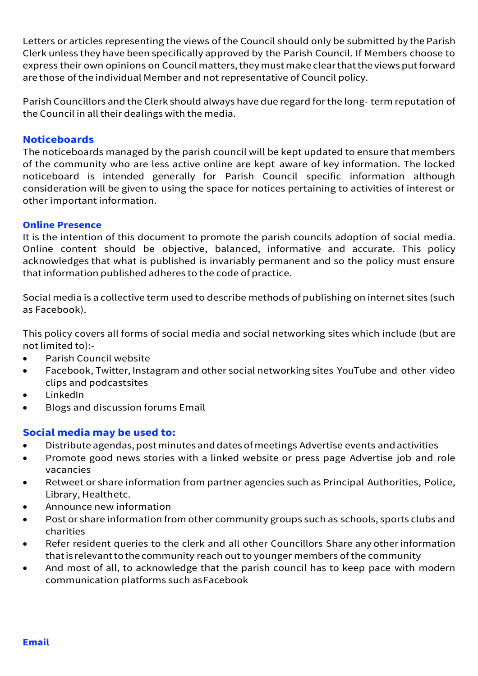Letters or articles representing the views of the Council should only be submitted by the Parish Clerk unless they have been specifically approved by the Parish Council. If Members choose to express their own opinions on Council matters, they must make clear that the views put forward are those of the individual Member and not representative of Council policy.

Parish Councillors and the Clerk should always have dueregard forthelong- term reputation of the Council in all their dealings with the media.

### **Noticeboards**

The noticeboards managed by the parish council will be kept updated to ensure that members of the community who are less active online are kept aware of key information. The locked noticeboard is intended generally for Parish Council specific information although consideration will be given to using the space for notices pertaining to activities of interest or other important information.

#### **Online Presence**

It is the intention of this document to promote the parish councils adoption of social media. Online content should be objective, balanced, informative and accurate. This policy acknowledges that what is published is invariably permanent and so the policy must ensure that information published adheres to the code of practice.

Social media is a collective term used to describe methods of publishing on internet sites (such as Facebook).

This policy covers all forms of social media and social networking sites which include (but are not limited to):-

- Parish Council website
- Facebook, Twitter, Instagram and other social networking sites YouTube and other video clips and podcastsites
- LinkedIn
- Blogs and discussion forums Email

### **Social media may be used to:**

- Distribute agendas, post minutes and dates of meetings Advertise events and activities
- Promote good news stories with a linked website or press page Advertise job and role vacancies
- Retweet or share information from partner agencies such as Principal Authorities, Police, Library, Healthetc.
- Announce new information
- Post or share information from other community groups such as schools, sports clubs and charities
- Refer resident queries to the clerk and all other Councillors Share any other information that is relevant to the community reach out to younger members of the community
- And most of all, to acknowledge that the parish council has to keep pace with modern communication platforms such asFacebook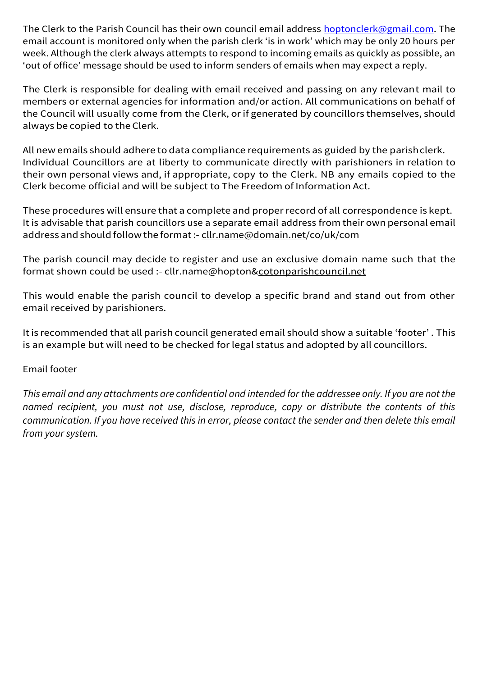The Clerk to the Parish Council has their own council email address [hoptonclerk@gmail.com.](mailto:hoptonclerk@gmail.com) The email account is monitored only when the parish clerk 'is in work' which may be only 20 hours per week. Although the clerk always attempts to respond to incoming emails as quickly as possible, an 'out of office' message should be used to inform senders of emails when may expect a reply.

The Clerk is responsible for dealing with email received and passing on any relevant mail to members or external agencies for information and/or action. All communications on behalf of the Council will usually come from the Clerk, or if generated by councillors themselves, should always becopied to the Clerk.

All new emails should adhere to data compliance requirements as guided by the parish clerk. Individual Councillors are at liberty to communicate directly with parishioners in relation to their own personal views and, if appropriate, copy to the Clerk. NB any emails copied to the Clerk become official and will be subject to The Freedom of Information Act.

These procedures will ensure that a complete and proper record of all correspondence is kept. It is advisable that parish councillors use a separate email address from their own personal email address and should follow the format:- cllr.name@domain.net/co/uk/com

The parish council may decide to register and use an exclusive domain name such that the format shown could be used :- cllr.name@hopton&cotonparishcouncil.net

This would enable the parish council to develop a specific brand and stand out from other email received by parishioners.

Itis recommended that all parish council generated email should show a suitable 'footer' . This is an example but will need to be checked for legal status and adopted by all councillors.

### Email footer

*This email and any attachments are confidential and intended for the addressee only. If you are not the named recipient, you must not use, disclose, reproduce, copy or distribute the contents of this communication. If you have received this in error, please contact the sender and then delete this email from your system.*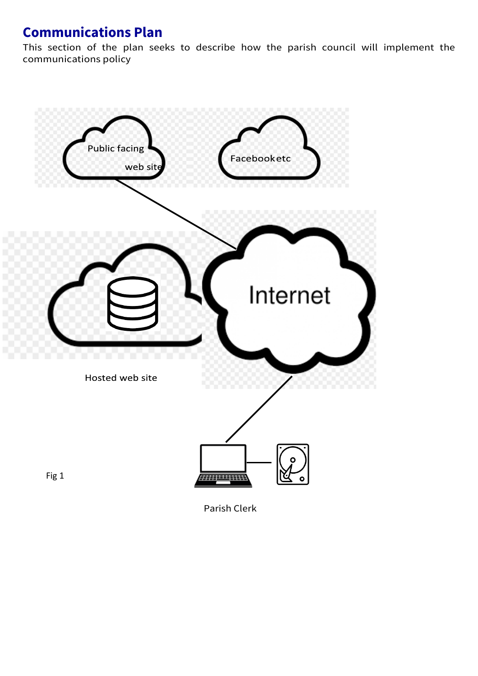# **Communications Plan**

This section of the plan seeks to describe how the parish council will implement the communications policy

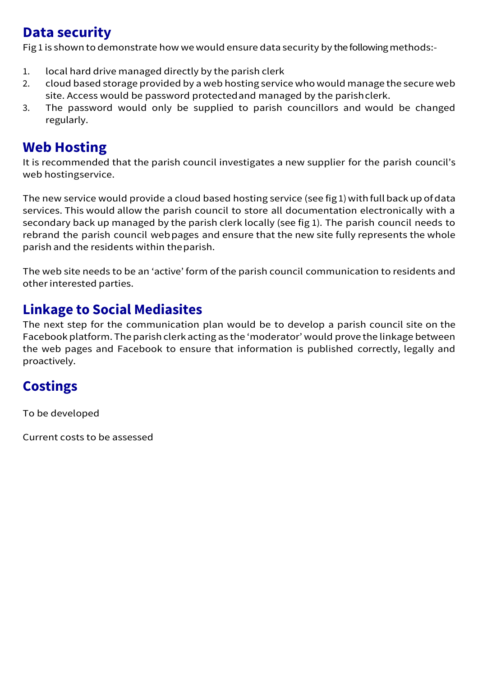# **Data security**

Fig 1 is shown to demonstrate how we would ensure data security by the following methods:-

- 1. local hard drive managed directly by the parish clerk
- 2. cloud based storage provided by a web hosting service who would manage the secure web site. Access would be password protectedand managed by the parishclerk.
- 3. The password would only be supplied to parish councillors and would be changed regularly.

# **Web Hosting**

It is recommended that the parish council investigates a new supplier for the parish council's web hostingservice.

The new service would provide a cloud based hosting service (see fig 1) with full back up of data services. This would allow the parish council to store all documentation electronically with a secondary back up managed by the parish clerk locally (see fig 1). The parish council needs to rebrand the parish council webpages and ensure that the new site fully represents the whole parish and the residents within theparish.

The web site needs to be an 'active' form of the parish council communication to residents and otherinterested parties.

# **Linkage to Social Mediasites**

The next step for the communication plan would be to develop a parish council site on the Facebook platform. The parish clerk acting as the 'moderator' would prove the linkage between the web pages and Facebook to ensure that information is published correctly, legally and proactively.

# **Costings**

To be developed

Current costs to be assessed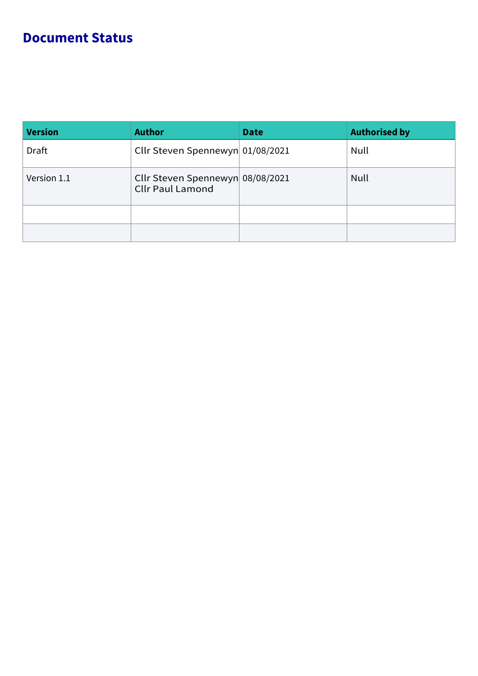# **Document Status**

| <b>Version</b> | <b>Author</b>                                               | <b>Date</b> | <b>Authorised by</b> |
|----------------|-------------------------------------------------------------|-------------|----------------------|
| <b>Draft</b>   | Cllr Steven Spennewyn 01/08/2021                            |             | Null                 |
| Version 1.1    | Cllr Steven Spennewyn 08/08/2021<br><b>Cllr Paul Lamond</b> |             | Null                 |
|                |                                                             |             |                      |
|                |                                                             |             |                      |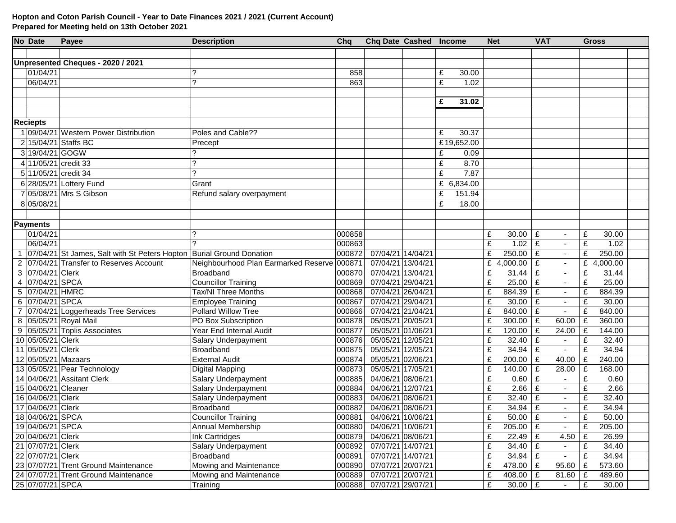#### **Hopton and Coton Parish Council - Year to Date Finances 2021 / 2021 (Current Account) Prepared for Meeting held on 13th October 2021**

|                | No Date                                | Payee                                                                | <b>Description</b>                          | Cha              | Chq Date Cashed Income                 |   |            | <b>Net</b> |             | <b>VAT</b> |                          | <b>Gross</b> |              |  |
|----------------|----------------------------------------|----------------------------------------------------------------------|---------------------------------------------|------------------|----------------------------------------|---|------------|------------|-------------|------------|--------------------------|--------------|--------------|--|
|                |                                        |                                                                      |                                             |                  |                                        |   |            |            |             |            |                          |              |              |  |
|                |                                        | Unpresented Cheques - 2020 / 2021                                    |                                             |                  |                                        |   |            |            |             |            |                          |              |              |  |
|                | 01/04/21                               |                                                                      |                                             | 858              |                                        | £ | 30.00      |            |             |            |                          |              |              |  |
|                | 06/04/21                               |                                                                      | ?                                           | 863              |                                        | £ | 1.02       |            |             |            |                          |              |              |  |
|                |                                        |                                                                      |                                             |                  |                                        |   |            |            |             |            |                          |              |              |  |
|                |                                        |                                                                      |                                             |                  |                                        | £ | 31.02      |            |             |            |                          |              |              |  |
|                |                                        |                                                                      |                                             |                  |                                        |   |            |            |             |            |                          |              |              |  |
|                | <b>Reciepts</b>                        |                                                                      |                                             |                  |                                        |   |            |            |             |            |                          |              |              |  |
|                |                                        | 09/04/21 Western Power Distribution                                  | Poles and Cable??                           |                  |                                        | £ | 30.37      |            |             |            |                          |              |              |  |
|                |                                        | 2 15/04/21 Staffs BC                                                 | Precept                                     |                  |                                        |   | £19,652.00 |            |             |            |                          |              |              |  |
|                | 3 19/04/21 GOGW                        |                                                                      |                                             |                  |                                        | £ | 0.09       |            |             |            |                          |              |              |  |
|                |                                        | 4 11/05/21 credit 33                                                 | 2                                           |                  |                                        | £ | 8.70       |            |             |            |                          |              |              |  |
|                |                                        | 5 11/05/21 credit 34                                                 | 2                                           |                  |                                        |   | 7.87       |            |             |            |                          |              |              |  |
|                |                                        |                                                                      |                                             |                  |                                        | £ |            |            |             |            |                          |              |              |  |
|                |                                        | 6 28/05/21 Lottery Fund                                              | Grant                                       |                  |                                        |   | £ 6,834.00 |            |             |            |                          |              |              |  |
|                |                                        | 7 05/08/21 Mrs S Gibson                                              | Refund salary overpayment                   |                  |                                        | £ | 151.94     |            |             |            |                          |              |              |  |
|                | 8 05/08/21                             |                                                                      |                                             |                  |                                        | £ | 18.00      |            |             |            |                          |              |              |  |
|                |                                        |                                                                      |                                             |                  |                                        |   |            |            |             |            |                          |              |              |  |
|                | <b>Payments</b>                        |                                                                      |                                             |                  |                                        |   |            |            |             |            |                          |              |              |  |
|                | 01/04/21                               |                                                                      | ?                                           | 000858           |                                        |   |            | £          | 30.00       | £          |                          | £            | 30.00        |  |
|                | 06/04/21                               |                                                                      | $\mathcal{P}$                               | 000863           |                                        |   |            | £          | 1.02        | £          | $\sim$                   | £            | 1.02         |  |
|                |                                        | 07/04/21 St James, Salt with St Peters Hopton Burial Ground Donation |                                             | 000872           | 07/04/21 14/04/21                      |   |            | £          | $250.00$ £  |            |                          | £            | 250.00       |  |
|                |                                        | 2 07/04/21 Transfer to Reserves Account                              | Neighbourhood Plan Earmarked Reserve 000871 |                  | 07/04/21 13/04/21                      |   |            | £          | 4,000.00    | £          |                          | £            | 4,000.00     |  |
|                | 3 07/04/21 Clerk                       |                                                                      | Broadband                                   | 000870           | 07/04/21 13/04/21                      |   |            | £          | 31.44       | £          |                          | £            | 31.44        |  |
|                | 4 07/04/21 SPCA                        |                                                                      | Councillor Training                         | 000869           | 07/04/21 29/04/21                      |   |            | £          | 25.00       | £          | $\blacksquare$           | £            | 25.00        |  |
|                | 5 07/04/21 HMRC                        |                                                                      | <b>Tax/NI Three Months</b>                  | 000868           | 07/04/21 26/04/21                      |   |            | £          | 884.39      | £          | $\blacksquare$           | £            | 884.39       |  |
| 6              | 07/04/21 SPCA                          |                                                                      | Employee Training                           | 000867           | 07/04/21 29/04/21                      |   |            | £          | 30.00       | £          | $\blacksquare$           | £            | 30.00        |  |
| $\overline{7}$ |                                        | 07/04/21 Loggerheads Tree Services                                   | Pollard Willow Tree                         | 000866           | 07/04/21 21/04/21                      |   |            | £          | 840.00      | £          | $\overline{\phantom{a}}$ | £            | 840.00       |  |
| 8              |                                        | 05/05/21 Royal Mail                                                  | PO Box Subscription                         | 000878           | 05/05/21 20/05/21                      |   |            | £          | 300.00      | £          | 60.00                    | £            | 360.00       |  |
| 9              |                                        | 05/05/21 Toplis Associates                                           | Year End Internal Audit                     | 000877           | 05/05/21 01/06/21                      |   |            | £          | 120.00      | £          | 24.00                    | £            | 144.00       |  |
|                | 10 05/05/21 Clerk                      |                                                                      | Salary Underpayment                         | 000876           | 05/05/21 12/05/21                      |   |            | £          | 32.40       | £          |                          | £            | 32.40        |  |
|                | 11 05/05/21 Clerk                      |                                                                      | Broadband                                   | 000875           | 05/05/21 12/05/21                      |   |            | £          | 34.94       | £          |                          | £            | 34.94        |  |
|                |                                        | 12 05/05/21 Mazaars                                                  | <b>External Audit</b>                       | 000874           | 05/05/21 02/06/21                      |   |            | £          | 200.00      | £          | 40.00                    | £            | 240.00       |  |
|                |                                        | 13 05/05/21 Pear Technology<br>14 04/06/21 Assitant Clerk            | Digital Mapping                             | 000873           | 05/05/21 17/05/21<br>04/06/21 08/06/21 |   |            | £          | 140.00      | £          | 28.00                    | £            | 168.00       |  |
|                | 15 04/06/21 Cleaner                    |                                                                      | Salary Underpayment                         | 000885           | 04/06/21 12/07/21                      |   |            | £          | 0.60        | £<br>£     | $\blacksquare$           | £<br>£       | 0.60<br>2.66 |  |
|                |                                        |                                                                      | Salary Underpayment                         | 000884           |                                        |   |            | £          | 2.66        |            |                          |              |              |  |
|                | 16 04/06/21 Clerk                      |                                                                      | Salary Underpayment                         | 000883           | 04/06/21 08/06/21                      |   |            | £          | 32.40       | £          |                          | £            | 32.40        |  |
|                | 17 04/06/21 Clerk                      |                                                                      | Broadband                                   | 000882           | 04/06/21 08/06/21                      |   |            | £          | 34.94       | £          |                          | £            | 34.94        |  |
|                | 18 04/06/21 SPCA                       |                                                                      | <b>Councillor Training</b>                  | 000881           | 04/06/21 10/06/21                      |   |            | £          | 50.00 $E$   |            |                          | £            | 50.00        |  |
|                | 19 04/06/21 SPCA                       |                                                                      | Annual Membership                           | 000880           | 04/06/21 10/06/21                      |   |            | £          | 205.00   £  |            |                          | £            | 205.00       |  |
|                | 20 04/06/21 Clerk<br>21 07/07/21 Clerk |                                                                      | Ink Cartridges                              | 000879<br>000892 | 04/06/21 08/06/21                      |   |            | £          | $22.49$ £   |            | 4.50                     | £            | 26.99        |  |
|                | 22 07/07/21 Clerk                      |                                                                      | Salary Underpayment                         |                  | 07/07/21 14/07/21                      |   |            | £          | 34.40 $E$   |            |                          | £            | 34.40        |  |
|                |                                        | 23 07/07/21 Trent Ground Maintenance                                 | Broadband                                   | 000891<br>000890 | 07/07/21 14/07/21                      |   |            | £          | 34.94 $E$   |            | $\blacksquare$           | £            | 34.94        |  |
|                |                                        | 24 07/07/21 Trent Ground Maintenance                                 | Mowing and Maintenance                      |                  | 07/07/21 20/07/21                      |   |            | £          | 478.00   £  |            | 95.60                    | £            | 573.60       |  |
|                |                                        |                                                                      | Mowing and Maintenance                      | 000889           | 07/07/21 20/07/21                      |   |            | £          | 408.00   £  |            | 81.60                    | £            | 489.60       |  |
|                | 25 07/07/21 SPCA                       |                                                                      | Training                                    | 000888           | 07/07/21 29/07/21                      |   |            | £          | $30.00$   £ |            | $\sim$                   | £            | 30.00        |  |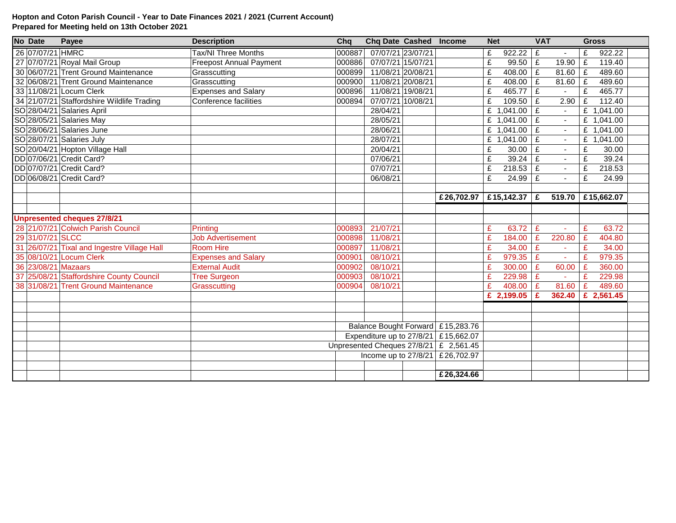#### **Hopton and Coton Parish Council - Year to Date Finances 2021 / 2021 (Current Account) Prepared for Meeting held on 13th October 2021**

| No Date          | Payee                                       | <b>Description</b>             | Cha                                  | <b>Chq Date Cashed Income</b> |  |                                        |   | <b>VAT</b><br><b>Net</b> |             | <b>Gross</b> |                         |            |  |
|------------------|---------------------------------------------|--------------------------------|--------------------------------------|-------------------------------|--|----------------------------------------|---|--------------------------|-------------|--------------|-------------------------|------------|--|
| 26 07/07/21 HMRC |                                             | Tax/NI Three Months            | 000887                               | 07/07/21 23/07/21             |  |                                        | £ | 922.22                   | Ι£          |              | £                       | 922.22     |  |
|                  | 27 07/07/21 Royal Mail Group                | <b>Freepost Annual Payment</b> | 000886                               | 07/07/21 15/07/21             |  |                                        | £ | $99.50$ £                |             | 19.90        | £                       | 119.40     |  |
|                  | 30 06/07/21 Trent Ground Maintenance        | Grasscutting                   | 000899                               | 11/08/21 20/08/21             |  |                                        | £ | $408.00$ $E$             |             | 81.60        | $\mathbf{E}$            | 489.60     |  |
|                  | 32 06/08/21 Trent Ground Maintenance        | Grasscutting                   | 000900                               | 11/08/21 20/08/21             |  |                                        | £ | 408.00 $E$               |             | 81.60        | $\overline{\mathrm{E}}$ | 489.60     |  |
|                  | 33 11/08/21 Locum Clerk                     | <b>Expenses and Salary</b>     | 000896                               | 11/08/21 19/08/21             |  |                                        | £ | $465.77$ £               |             |              | $\overline{f}$          | 465.77     |  |
|                  | 34 21/07/21 Staffordshire Wildlife Trading  | Conference facilities          | 000894                               | 07/07/21 10/08/21             |  |                                        | £ | $109.50$   £             |             | 2.90         | £                       | 112.40     |  |
|                  | SO 28/04/21 Salaries April                  |                                |                                      | 28/04/21                      |  |                                        |   | £ $1,041.00$ £           |             |              | £                       | 1,041.00   |  |
|                  | SO 28/05/21 Salaries May                    |                                |                                      | 28/05/21                      |  |                                        |   | £ $1,041.00$ £           |             |              | £                       | 1,041.00   |  |
|                  | SO 28/06/21 Salaries June                   |                                |                                      | 28/06/21                      |  |                                        |   | £ $1,041.00$ £           |             |              | £                       | 1,041.00   |  |
|                  | SO 28/07/21 Salaries July                   |                                |                                      | 28/07/21                      |  |                                        |   | £ 1,041.00               | £           | $\sim$       | £                       | 1,041.00   |  |
|                  | SO 20/04/21 Hopton Village Hall             |                                |                                      | 20/04/21                      |  |                                        | £ | 30.00                    | £           | $\sim$       | £                       | 30.00      |  |
|                  | DD 07/06/21 Credit Card?                    |                                |                                      | 07/06/21                      |  |                                        | £ | 39.24 $E$                |             | $\sim$       | £                       | 39.24      |  |
|                  | DD 07/07/21 Credit Card?                    |                                |                                      | 07/07/21                      |  |                                        | £ | $218.53$ £               |             | $\sim$       | £                       | 218.53     |  |
|                  | DD 06/08/21 Credit Card?                    |                                |                                      | 06/08/21                      |  |                                        | £ | 24.99                    | £           | $\sim$       | £                       | 24.99      |  |
|                  |                                             |                                |                                      |                               |  |                                        |   |                          |             |              |                         |            |  |
|                  |                                             |                                |                                      |                               |  | £26,702.97                             |   | £15,142.37 £             |             | 519.70       |                         | £15,662.07 |  |
|                  |                                             |                                |                                      |                               |  |                                        |   |                          |             |              |                         |            |  |
|                  | <b>Unpresented cheques 27/8/21</b>          |                                |                                      |                               |  |                                        |   |                          |             |              |                         |            |  |
|                  | 28 21/07/21 Colwich Parish Council          | Printing                       | 000893                               | 21/07/21                      |  |                                        | £ | 63.72                    | £           |              | £                       | 63.72      |  |
| 29 31/07/21 SLCC |                                             | Job Advertisement              | 000898                               | 11/08/21                      |  |                                        | £ | 184.00                   | £           | 220.80       | £                       | 404.80     |  |
|                  | 31 26/07/21 Tixal and Ingestre Village Hall | <b>Room Hire</b>               | 000897                               | 11/08/21                      |  |                                        | £ | 34.00                    | £           |              | £                       | 34.00      |  |
|                  | 35 08/10/21 Locum Clerk                     | <b>Expenses and Salary</b>     | 000901                               | 08/10/21                      |  |                                        | £ | 979.35                   | $\mathbf f$ |              | £                       | 979.35     |  |
|                  | 36 23/08/21 Mazaars                         | <b>External Audit</b>          | 000902                               | 08/10/21                      |  |                                        | £ | 300.00                   | £           | 60.00        | £                       | 360.00     |  |
|                  | 37 25/08/21 Staffordshire County Council    | <b>Tree Surgeon</b>            | 000903                               | 08/10/21                      |  |                                        | £ | 229.98                   | £           |              | £                       | 229.98     |  |
|                  | 38 31/08/21 Trent Ground Maintenance        | Grasscutting                   | 000904                               | 08/10/21                      |  |                                        | £ | 408.00   £               |             | 81.60        | £                       | 489.60     |  |
|                  |                                             |                                |                                      |                               |  |                                        |   | £ 2.199.05 $E$           |             | 362.40       |                         | £ 2,561.45 |  |
|                  |                                             |                                |                                      |                               |  |                                        |   |                          |             |              |                         |            |  |
|                  |                                             |                                |                                      |                               |  |                                        |   |                          |             |              |                         |            |  |
|                  |                                             |                                |                                      |                               |  | Balance Bought Forward £15,283.76      |   |                          |             |              |                         |            |  |
|                  |                                             |                                | Expenditure up to 27/8/21 £15,662.07 |                               |  |                                        |   |                          |             |              |                         |            |  |
|                  |                                             |                                |                                      |                               |  | Unpresented Cheques 27/8/21 £ 2,561.45 |   |                          |             |              |                         |            |  |
|                  |                                             |                                |                                      |                               |  | Income up to $27/8/21$ £26,702.97      |   |                          |             |              |                         |            |  |
|                  |                                             |                                |                                      |                               |  |                                        |   |                          |             |              |                         |            |  |
|                  |                                             |                                |                                      |                               |  | £26,324.66                             |   |                          |             |              |                         |            |  |